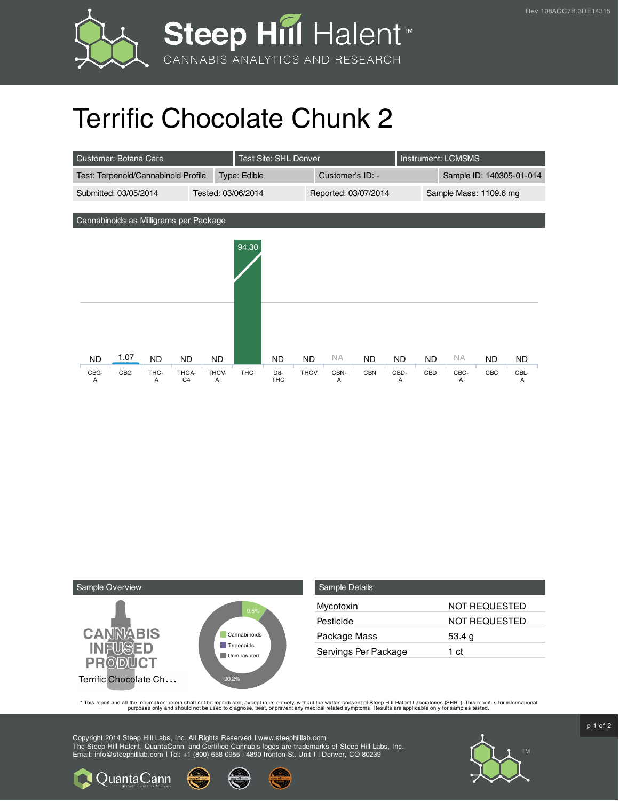



## Terrific Chocolate Chunk 2

| Customer: Botana Care                  |      |           |                         |                    |            | Test Site: SHL Denver        |                      |           |            |                          | <b>Instrument: LCMSMS</b> |           |     |           |
|----------------------------------------|------|-----------|-------------------------|--------------------|------------|------------------------------|----------------------|-----------|------------|--------------------------|---------------------------|-----------|-----|-----------|
| Test: Terpenoid/Cannabinoid Profile    |      |           |                         | Type: Edible       |            |                              | Customer's ID: -     |           |            | Sample ID: 140305-01-014 |                           |           |     |           |
| Submitted: 03/05/2014                  |      |           |                         | Tested: 03/06/2014 |            |                              | Reported: 03/07/2014 |           |            | Sample Mass: 1109.6 mg   |                           |           |     |           |
|                                        |      |           |                         |                    |            |                              |                      |           |            |                          |                           |           |     |           |
| Cannabinoids as Milligrams per Package |      |           |                         |                    |            |                              |                      |           |            |                          |                           |           |     |           |
|                                        |      |           |                         |                    | 94.30      |                              |                      |           |            |                          |                           |           |     |           |
|                                        |      |           |                         |                    |            |                              |                      |           |            |                          |                           |           |     |           |
| <b>ND</b>                              | 1.07 | <b>ND</b> | <b>ND</b>               | ND.                |            | ND                           | <b>ND</b>            | <b>NA</b> | <b>ND</b>  | ND.                      | ND.                       | <b>NA</b> | ND. | <b>ND</b> |
| CBG-<br>A                              | CBG  | THC-<br>A | THCA-<br>C <sub>4</sub> | THCV-<br>A         | <b>THC</b> | D <sub>8</sub><br><b>THC</b> | <b>THCV</b>          | CBN-<br>A | <b>CBN</b> | CBD-<br>A                | CBD                       | CBC-<br>A | CBC | CBL-<br>A |



| <b>Sample Details</b> |                      |
|-----------------------|----------------------|
| Mycotoxin             | NOT REQUESTED        |
| Pesticide             | <b>NOT REQUESTED</b> |
| Package Mass          | 53.4 g               |
| Servings Per Package  | 1 ct                 |

This report and all the information herein shall not be reporduced, except in its entirety, without the written consent of Steep Hill Halent Laboratories (SHHL). This report is for informational all the instance, treat, or

Copyright 2014 Steep Hill Labs, Inc. All Rights Reserved | www.steephilllab.com The Steep Hill Halent, QuantaCann, and Certified Cannabis logos are trademarks of Steep Hill Labs, Inc. Email: info@steephilllab.com | Tel: +1 (800) 658 0955 | 4890 Ironton St. Unit I | Denver, CO 80239



p 1 of 2

**Q** Quanta Cann